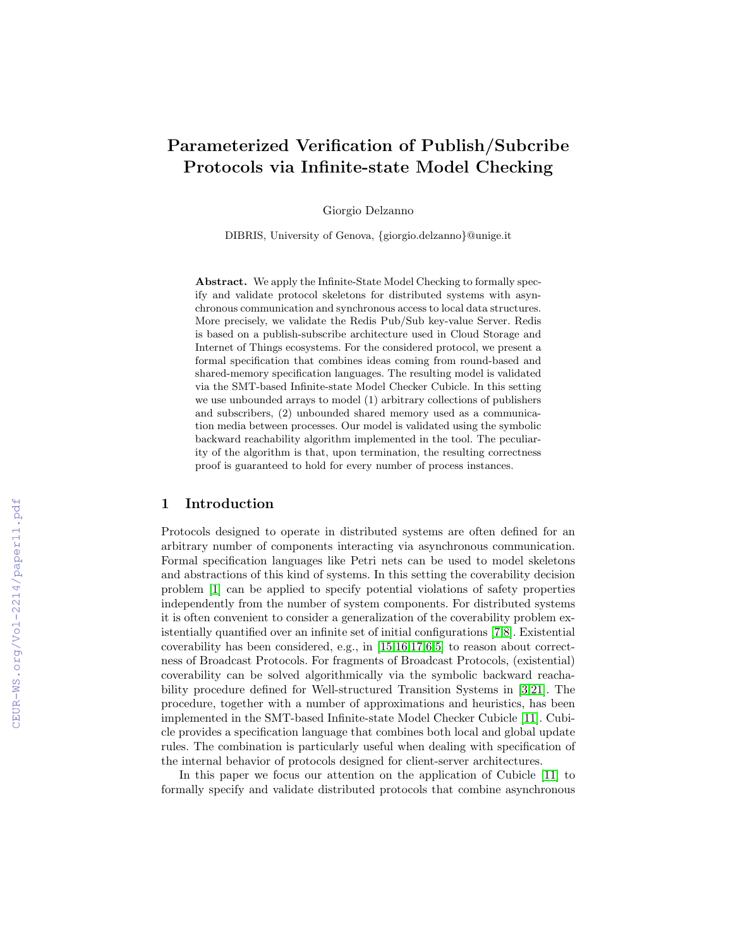# Parameterized Verification of Publish/Subcribe Protocols via Infinite-state Model Checking

Giorgio Delzanno

DIBRIS, University of Genova, {giorgio.delzanno}@unige.it

Abstract. We apply the Infinite-State Model Checking to formally specify and validate protocol skeletons for distributed systems with asynchronous communication and synchronous access to local data structures. More precisely, we validate the Redis Pub/Sub key-value Server. Redis is based on a publish-subscribe architecture used in Cloud Storage and Internet of Things ecosystems. For the considered protocol, we present a formal specification that combines ideas coming from round-based and shared-memory specification languages. The resulting model is validated via the SMT-based Infinite-state Model Checker Cubicle. In this setting we use unbounded arrays to model (1) arbitrary collections of publishers and subscribers, (2) unbounded shared memory used as a communication media between processes. Our model is validated using the symbolic backward reachability algorithm implemented in the tool. The peculiarity of the algorithm is that, upon termination, the resulting correctness proof is guaranteed to hold for every number of process instances.

#### 1 Introduction

Protocols designed to operate in distributed systems are often defined for an arbitrary number of components interacting via asynchronous communication. Formal specification languages like Petri nets can be used to model skeletons and abstractions of this kind of systems. In this setting the coverability decision problem [\[1\]](#page--1-0) can be applied to specify potential violations of safety properties independently from the number of system components. For distributed systems it is often convenient to consider a generalization of the coverability problem existentially quantified over an infinite set of initial configurations [\[7,](#page--1-1)[8\]](#page--1-2). Existential coverability has been considered, e.g., in [\[15,](#page--1-3)[16](#page--1-4)[,17,](#page--1-5)[6,](#page--1-6)[5\]](#page--1-7) to reason about correctness of Broadcast Protocols. For fragments of Broadcast Protocols, (existential) coverability can be solved algorithmically via the symbolic backward reachability procedure defined for Well-structured Transition Systems in [\[3,](#page--1-8)[21\]](#page--1-6). The procedure, together with a number of approximations and heuristics, has been implemented in the SMT-based Infinite-state Model Checker Cubicle [\[11\]](#page--1-9). Cubicle provides a specification language that combines both local and global update rules. The combination is particularly useful when dealing with specification of the internal behavior of protocols designed for client-server architectures.

In this paper we focus our attention on the application of Cubicle [\[11\]](#page--1-9) to formally specify and validate distributed protocols that combine asynchronous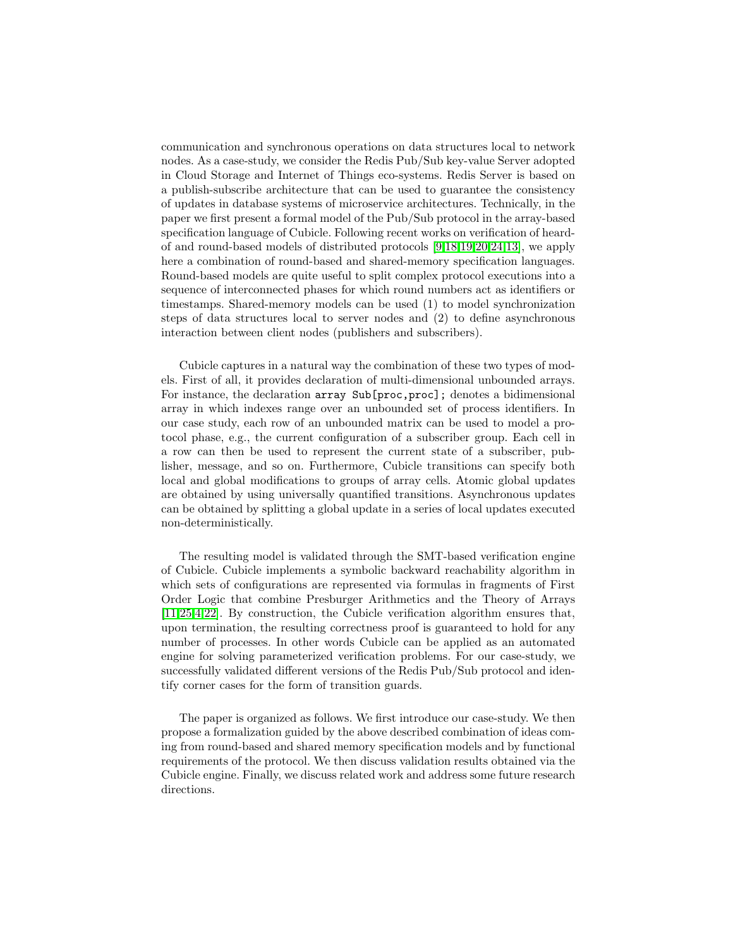communication and synchronous operations on data structures local to network nodes. As a case-study, we consider the Redis Pub/Sub key-value Server adopted in Cloud Storage and Internet of Things eco-systems. Redis Server is based on a publish-subscribe architecture that can be used to guarantee the consistency of updates in database systems of microservice architectures. Technically, in the paper we first present a formal model of the Pub/Sub protocol in the array-based specification language of Cubicle. Following recent works on verification of heardof and round-based models of distributed protocols [\[9,](#page-13-0)[18,](#page-13-1)[19,](#page-13-2)[20](#page-13-3)[,24,](#page-14-0)[13\]](#page-13-4), we apply here a combination of round-based and shared-memory specification languages. Round-based models are quite useful to split complex protocol executions into a sequence of interconnected phases for which round numbers act as identifiers or timestamps. Shared-memory models can be used (1) to model synchronization steps of data structures local to server nodes and (2) to define asynchronous interaction between client nodes (publishers and subscribers).

Cubicle captures in a natural way the combination of these two types of models. First of all, it provides declaration of multi-dimensional unbounded arrays. For instance, the declaration array Sub[proc,proc]; denotes a bidimensional array in which indexes range over an unbounded set of process identifiers. In our case study, each row of an unbounded matrix can be used to model a protocol phase, e.g., the current configuration of a subscriber group. Each cell in a row can then be used to represent the current state of a subscriber, publisher, message, and so on. Furthermore, Cubicle transitions can specify both local and global modifications to groups of array cells. Atomic global updates are obtained by using universally quantified transitions. Asynchronous updates can be obtained by splitting a global update in a series of local updates executed non-deterministically.

The resulting model is validated through the SMT-based verification engine of Cubicle. Cubicle implements a symbolic backward reachability algorithm in which sets of configurations are represented via formulas in fragments of First Order Logic that combine Presburger Arithmetics and the Theory of Arrays [\[11](#page-13-5)[,25](#page-14-1)[,4,](#page-12-0)[22\]](#page-14-2). By construction, the Cubicle verification algorithm ensures that, upon termination, the resulting correctness proof is guaranteed to hold for any number of processes. In other words Cubicle can be applied as an automated engine for solving parameterized verification problems. For our case-study, we successfully validated different versions of the Redis Pub/Sub protocol and identify corner cases for the form of transition guards.

The paper is organized as follows. We first introduce our case-study. We then propose a formalization guided by the above described combination of ideas coming from round-based and shared memory specification models and by functional requirements of the protocol. We then discuss validation results obtained via the Cubicle engine. Finally, we discuss related work and address some future research directions.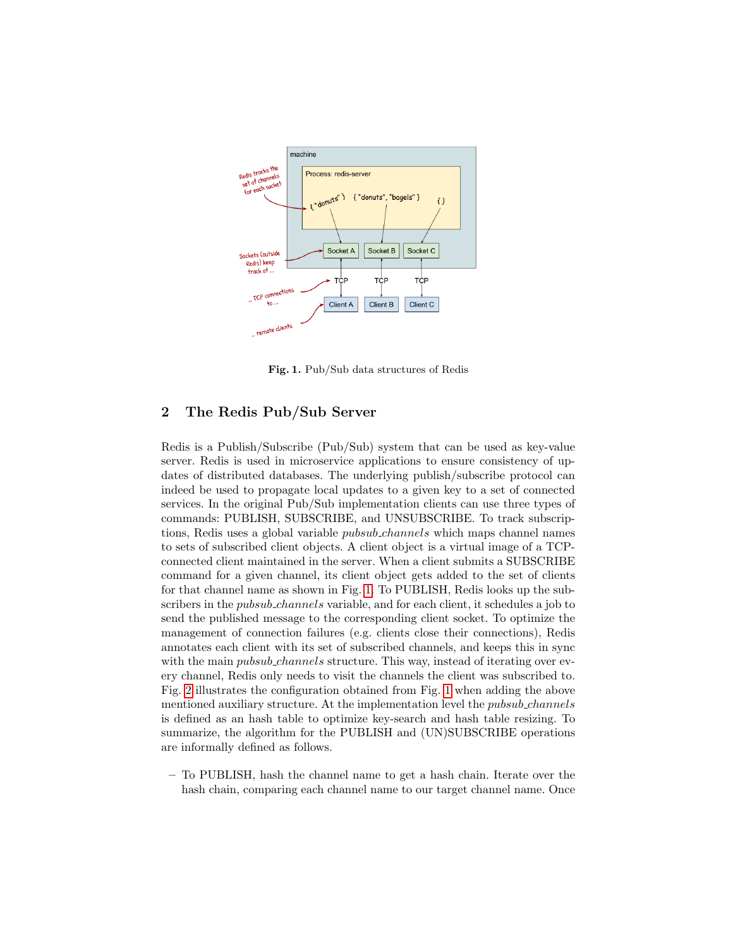

Fig. 1. Pub/Sub data structures of Redis

# <span id="page-2-0"></span>2 The Redis Pub/Sub Server

Redis is a Publish/Subscribe (Pub/Sub) system that can be used as key-value server. Redis is used in microservice applications to ensure consistency of updates of distributed databases. The underlying publish/subscribe protocol can indeed be used to propagate local updates to a given key to a set of connected services. In the original Pub/Sub implementation clients can use three types of commands: PUBLISH, SUBSCRIBE, and UNSUBSCRIBE. To track subscriptions, Redis uses a global variable *pubsub\_channels* which maps channel names to sets of subscribed client objects. A client object is a virtual image of a TCPconnected client maintained in the server. When a client submits a SUBSCRIBE command for a given channel, its client object gets added to the set of clients for that channel name as shown in Fig. [1.](#page-2-0) To PUBLISH, Redis looks up the subscribers in the *pubsub\_channels* variable, and for each client, it schedules a job to send the published message to the corresponding client socket. To optimize the management of connection failures (e.g. clients close their connections), Redis annotates each client with its set of subscribed channels, and keeps this in sync with the main *pubsub\_channels* structure. This way, instead of iterating over every channel, Redis only needs to visit the channels the client was subscribed to. Fig. [2](#page-3-0) illustrates the configuration obtained from Fig. [1](#page-2-0) when adding the above mentioned auxiliary structure. At the implementation level the *pubsub\_channels* is defined as an hash table to optimize key-search and hash table resizing. To summarize, the algorithm for the PUBLISH and (UN)SUBSCRIBE operations are informally defined as follows.

– To PUBLISH, hash the channel name to get a hash chain. Iterate over the hash chain, comparing each channel name to our target channel name. Once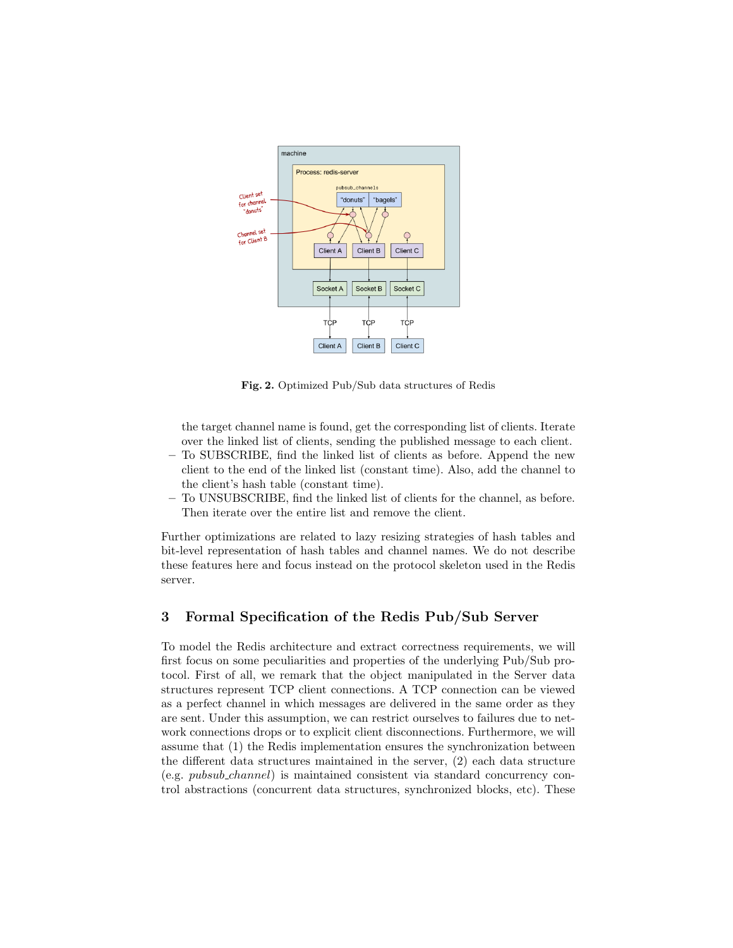

Fig. 2. Optimized Pub/Sub data structures of Redis

<span id="page-3-0"></span>the target channel name is found, get the corresponding list of clients. Iterate over the linked list of clients, sending the published message to each client.

- To SUBSCRIBE, find the linked list of clients as before. Append the new client to the end of the linked list (constant time). Also, add the channel to the client's hash table (constant time).
- To UNSUBSCRIBE, find the linked list of clients for the channel, as before. Then iterate over the entire list and remove the client.

Further optimizations are related to lazy resizing strategies of hash tables and bit-level representation of hash tables and channel names. We do not describe these features here and focus instead on the protocol skeleton used in the Redis server.

# 3 Formal Specification of the Redis Pub/Sub Server

To model the Redis architecture and extract correctness requirements, we will first focus on some peculiarities and properties of the underlying Pub/Sub protocol. First of all, we remark that the object manipulated in the Server data structures represent TCP client connections. A TCP connection can be viewed as a perfect channel in which messages are delivered in the same order as they are sent. Under this assumption, we can restrict ourselves to failures due to network connections drops or to explicit client disconnections. Furthermore, we will assume that (1) the Redis implementation ensures the synchronization between the different data structures maintained in the server, (2) each data structure (e.g. pubsub channel) is maintained consistent via standard concurrency control abstractions (concurrent data structures, synchronized blocks, etc). These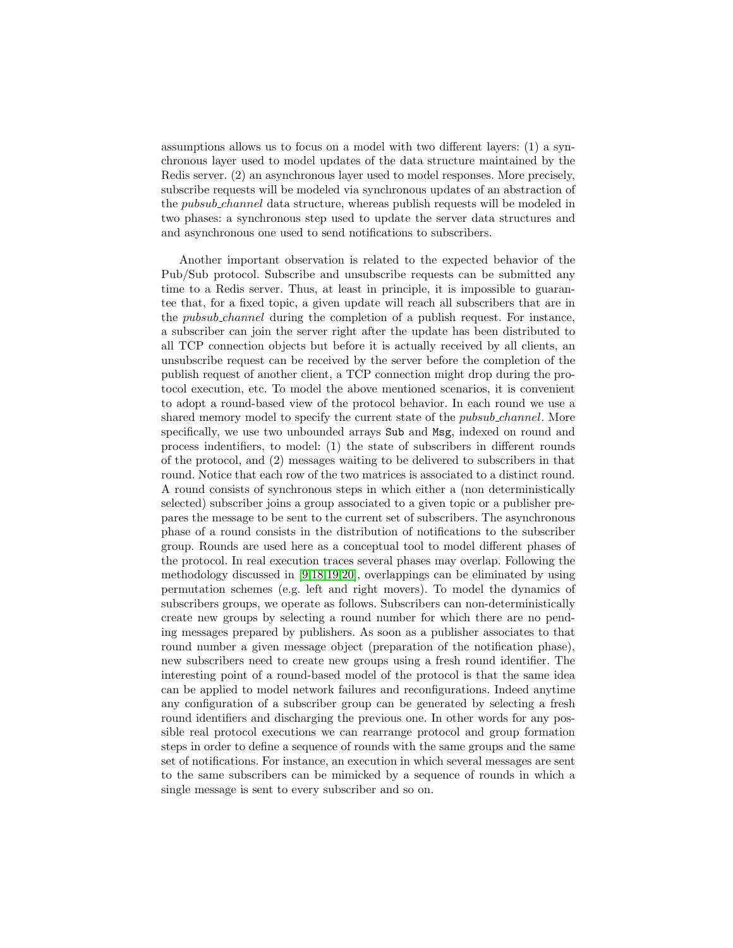assumptions allows us to focus on a model with two different layers: (1) a synchronous layer used to model updates of the data structure maintained by the Redis server. (2) an asynchronous layer used to model responses. More precisely, subscribe requests will be modeled via synchronous updates of an abstraction of the pubsub channel data structure, whereas publish requests will be modeled in two phases: a synchronous step used to update the server data structures and and asynchronous one used to send notifications to subscribers.

Another important observation is related to the expected behavior of the Pub/Sub protocol. Subscribe and unsubscribe requests can be submitted any time to a Redis server. Thus, at least in principle, it is impossible to guarantee that, for a fixed topic, a given update will reach all subscribers that are in the pubsub channel during the completion of a publish request. For instance, a subscriber can join the server right after the update has been distributed to all TCP connection objects but before it is actually received by all clients, an unsubscribe request can be received by the server before the completion of the publish request of another client, a TCP connection might drop during the protocol execution, etc. To model the above mentioned scenarios, it is convenient to adopt a round-based view of the protocol behavior. In each round we use a shared memory model to specify the current state of the *pubsub\_channel*. More specifically, we use two unbounded arrays Sub and Msg, indexed on round and process indentifiers, to model: (1) the state of subscribers in different rounds of the protocol, and (2) messages waiting to be delivered to subscribers in that round. Notice that each row of the two matrices is associated to a distinct round. A round consists of synchronous steps in which either a (non deterministically selected) subscriber joins a group associated to a given topic or a publisher prepares the message to be sent to the current set of subscribers. The asynchronous phase of a round consists in the distribution of notifications to the subscriber group. Rounds are used here as a conceptual tool to model different phases of the protocol. In real execution traces several phases may overlap. Following the methodology discussed in [\[9](#page-13-0)[,18,](#page-13-1)[19,](#page-13-2)[20\]](#page-13-3), overlappings can be eliminated by using permutation schemes (e.g. left and right movers). To model the dynamics of subscribers groups, we operate as follows. Subscribers can non-deterministically create new groups by selecting a round number for which there are no pending messages prepared by publishers. As soon as a publisher associates to that round number a given message object (preparation of the notification phase), new subscribers need to create new groups using a fresh round identifier. The interesting point of a round-based model of the protocol is that the same idea can be applied to model network failures and reconfigurations. Indeed anytime any configuration of a subscriber group can be generated by selecting a fresh round identifiers and discharging the previous one. In other words for any possible real protocol executions we can rearrange protocol and group formation steps in order to define a sequence of rounds with the same groups and the same set of notifications. For instance, an execution in which several messages are sent to the same subscribers can be mimicked by a sequence of rounds in which a single message is sent to every subscriber and so on.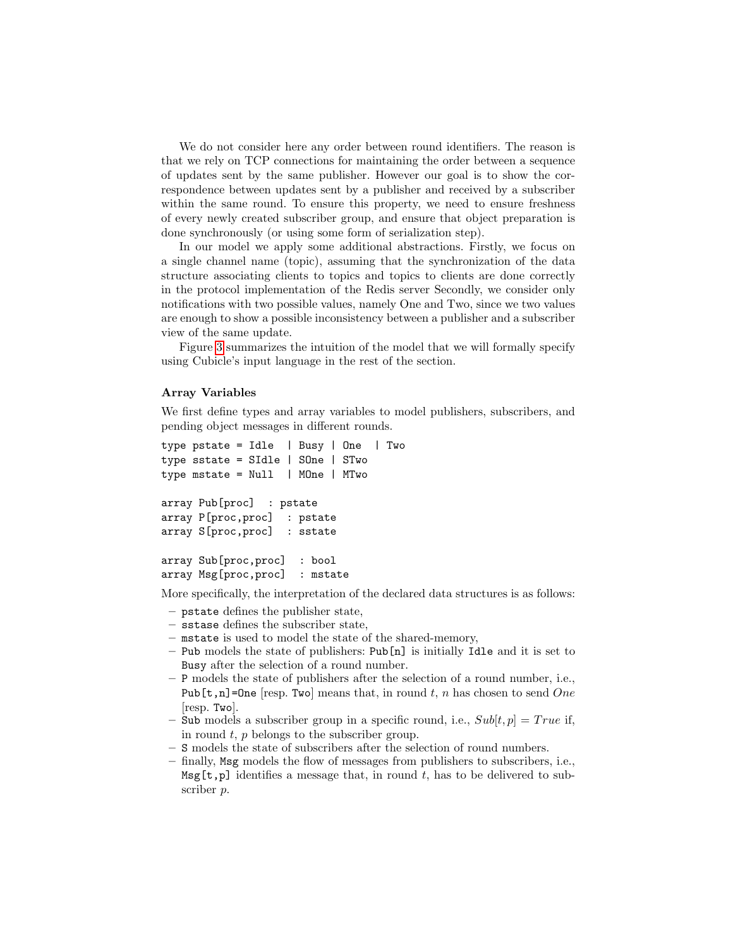We do not consider here any order between round identifiers. The reason is that we rely on TCP connections for maintaining the order between a sequence of updates sent by the same publisher. However our goal is to show the correspondence between updates sent by a publisher and received by a subscriber within the same round. To ensure this property, we need to ensure freshness of every newly created subscriber group, and ensure that object preparation is done synchronously (or using some form of serialization step).

In our model we apply some additional abstractions. Firstly, we focus on a single channel name (topic), assuming that the synchronization of the data structure associating clients to topics and topics to clients are done correctly in the protocol implementation of the Redis server Secondly, we consider only notifications with two possible values, namely One and Two, since we two values are enough to show a possible inconsistency between a publisher and a subscriber view of the same update.

Figure [3](#page-6-0) summarizes the intuition of the model that we will formally specify using Cubicle's input language in the rest of the section.

#### Array Variables

We first define types and array variables to model publishers, subscribers, and pending object messages in different rounds.

```
type pstate = Idle | Busy | One | Two
type sstate = SIdle | SOne | STwo
type mstate = Null | MOne | MTwo
array Pub[proc] : pstate
array P[proc,proc] : pstate
array S[proc,proc] : sstate
array Sub[proc,proc] : bool
array Msg[proc,proc] : mstate
```
More specifically, the interpretation of the declared data structures is as follows:

- pstate defines the publisher state,
- sstase defines the subscriber state,
- mstate is used to model the state of the shared-memory,
- Pub models the state of publishers: Pub[n] is initially Idle and it is set to Busy after the selection of a round number.
- P models the state of publishers after the selection of a round number, i.e., Pub[t,n]=One [resp. Two] means that, in round t, n has chosen to send One [resp. Two].
- Sub models a subscriber group in a specific round, i.e.,  $Sub[t, p] = True$  if, in round  $t$ ,  $p$  belongs to the subscriber group.
- S models the state of subscribers after the selection of round numbers.
- finally, Msg models the flow of messages from publishers to subscribers, i.e.,  $\texttt{Msg}[t,p]$  identifies a message that, in round t, has to be delivered to subscriber p.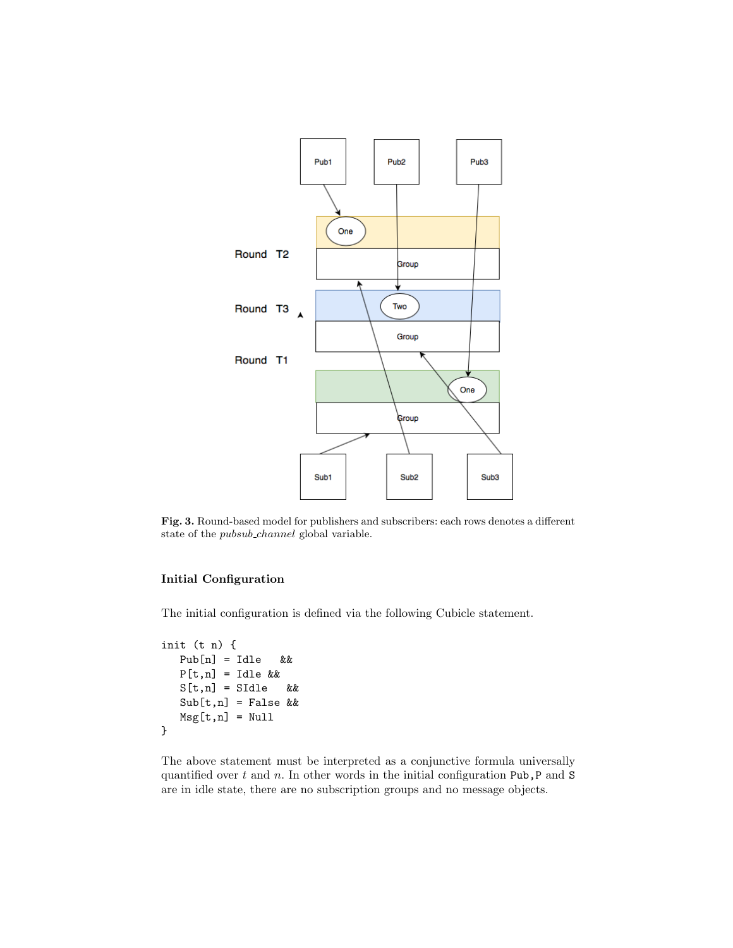

<span id="page-6-0"></span>Fig. 3. Round-based model for publishers and subscribers: each rows denotes a different state of the pubsub channel global variable.

## Initial Configuration

The initial configuration is defined via the following Cubicle statement.

```
init (t n) {
  Pub[n] = Idle &&
  P[t,n] = Idle &&
  S[t,n] = SIdle &&
  Sub[t, n] = False &&
  Msg[t,n] = Null}
```
The above statement must be interpreted as a conjunctive formula universally quantified over  $t$  and  $n$ . In other words in the initial configuration Pub,P and S are in idle state, there are no subscription groups and no message objects.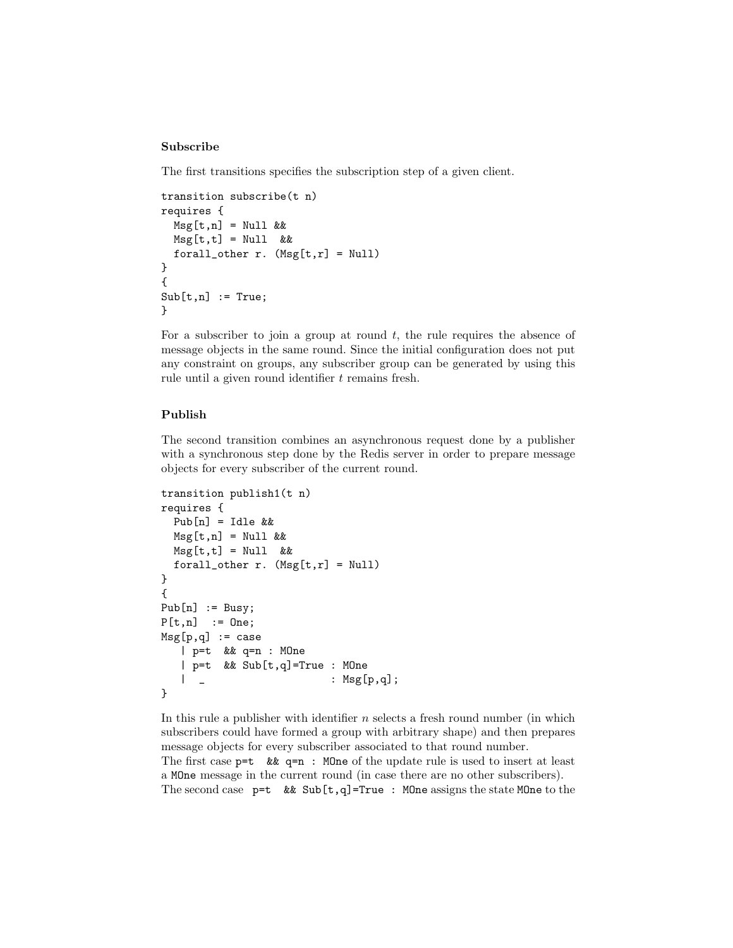## Subscribe

The first transitions specifies the subscription step of a given client.

```
transition subscribe(t n)
requires {
 Msg[t,n] = Null &Msg[t,t] = Null &&
 forall_other r. (Msg[t,r] = Null)}
{
Sub[t, n] := True;}
```
For a subscriber to join a group at round  $t$ , the rule requires the absence of message objects in the same round. Since the initial configuration does not put any constraint on groups, any subscriber group can be generated by using this rule until a given round identifier t remains fresh.

#### Publish

The second transition combines an asynchronous request done by a publisher with a synchronous step done by the Redis server in order to prepare message objects for every subscriber of the current round.

```
transition publish1(t n)
requires {
  Pub[n] = Idle &&
  Msg[t,n] = Null &Msg[t,t] = Null &&
  forall_other r. (Msg[t,r] = Null)}
{
Pub[n] := Busy;P[t,n] := One;
Msg[p,q] := case| p=t && q=n : MOne
   | p=t && Sub[t,q]=True : MOne
    \left| \begin{array}{ccc} \end{array} \right| \left| \begin{array}{ccc} \end{array} \right| : Msg[p,q];
}
```
In this rule a publisher with identifier  $n$  selects a fresh round number (in which subscribers could have formed a group with arbitrary shape) and then prepares message objects for every subscriber associated to that round number. The first case  $p=t \& k q=n$ : MOne of the update rule is used to insert at least a MOne message in the current round (in case there are no other subscribers). The second case  $p=t$  && Sub[t,q]=True : MOne assigns the state MOne to the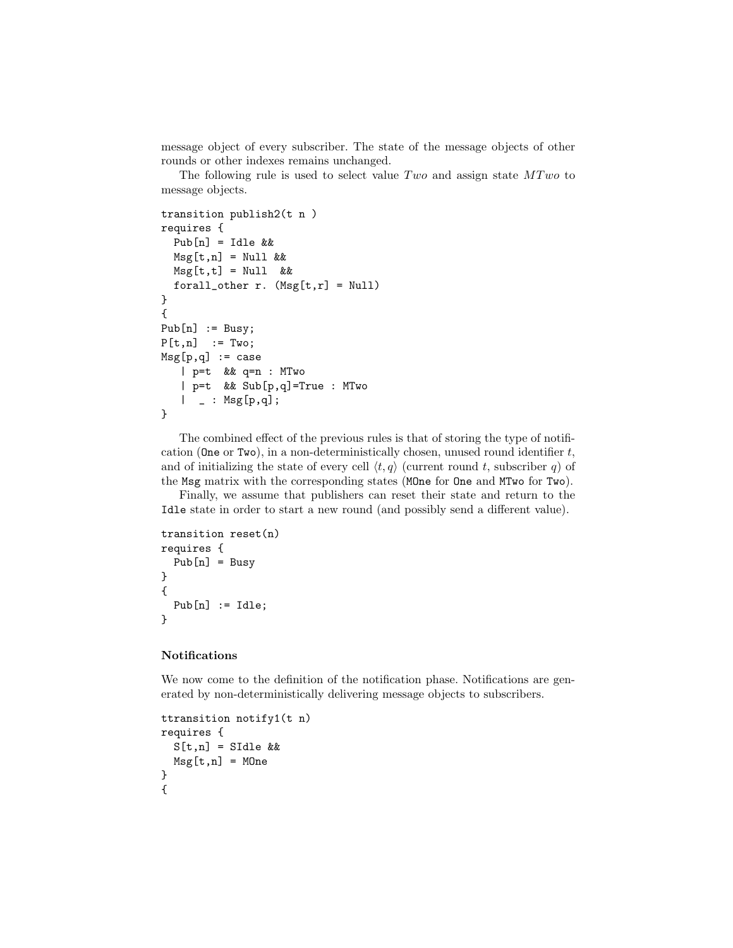message object of every subscriber. The state of the message objects of other rounds or other indexes remains unchanged.

The following rule is used to select value  $Two$  and assign state  $MTwo$  to message objects.

```
transition publish2(t n )
requires {
  Pub[n] = Idle &&
  Msg[t,n] = Null &Msg[t,t] = Null &&
  forall_other r. (Msg[t,r] = Null)}
{
Pub[n] := Busy;P[t,n] := Two;
Msg[p,q] := case| p=t && q=n : MTwo
   | p=t && Sub[p,q]=True : MTwo
   | = : Msg[p,q];
}
```
The combined effect of the previous rules is that of storing the type of notification (One or Two), in a non-deterministically chosen, unused round identifier  $t$ , and of initializing the state of every cell  $\langle t, q \rangle$  (current round t, subscriber q) of the Msg matrix with the corresponding states (MOne for One and MTwo for Two).

Finally, we assume that publishers can reset their state and return to the Idle state in order to start a new round (and possibly send a different value).

```
transition reset(n)
requires {
 Pub[n] = Busy}
{
 Pub[n] := Idle;}
```
#### Notifications

We now come to the definition of the notification phase. Notifications are generated by non-deterministically delivering message objects to subscribers.

```
ttransition notify1(t n)
requires {
 S[t,n] = SIdle &&
 Msg[t,n] = MOne}
{
```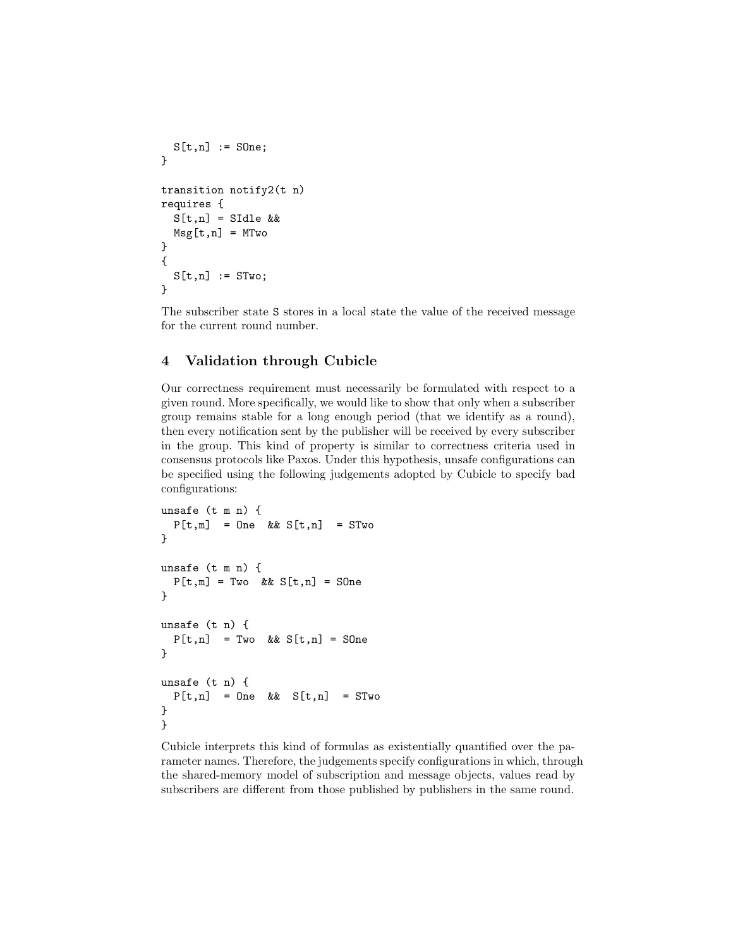```
S[t,n] := SOne;}
transition notify2(t n)
requires {
 S[t,n] = SIdle &&
 Msg[t,n] = MTwo}
{
 S[t,n] := STwo;}
```
The subscriber state S stores in a local state the value of the received message for the current round number.

# 4 Validation through Cubicle

Our correctness requirement must necessarily be formulated with respect to a given round. More specifically, we would like to show that only when a subscriber group remains stable for a long enough period (that we identify as a round), then every notification sent by the publisher will be received by every subscriber in the group. This kind of property is similar to correctness criteria used in consensus protocols like Paxos. Under this hypothesis, unsafe configurations can be specified using the following judgements adopted by Cubicle to specify bad configurations:

```
unsafe (t m n) {
 P[t,m] = One & S[t,n] = STwo
}
unsafe (t m n) {
 P[t,m] = Two \& S[t,n] = SOne}
unsafe (t n) {
 P[t,n] = Two \& S[t,n] = S0ne}
unsafe (t n) {
 P[t,n] = One & S[t,n] = STwo
}
}
```
Cubicle interprets this kind of formulas as existentially quantified over the parameter names. Therefore, the judgements specify configurations in which, through the shared-memory model of subscription and message objects, values read by subscribers are different from those published by publishers in the same round.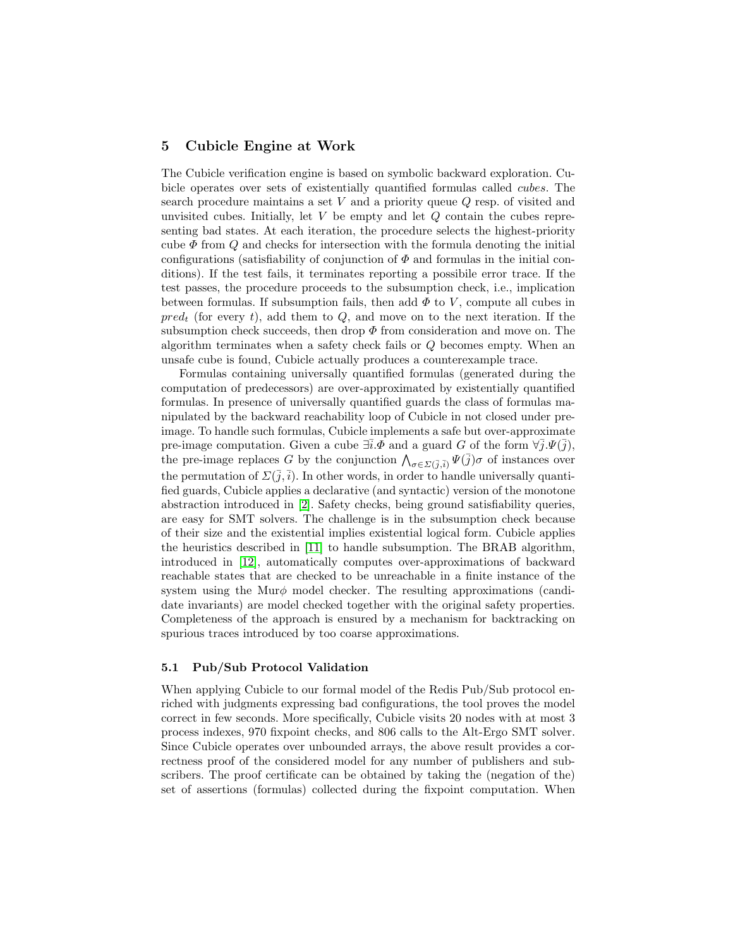## 5 Cubicle Engine at Work

The Cubicle verification engine is based on symbolic backward exploration. Cubicle operates over sets of existentially quantified formulas called cubes. The search procedure maintains a set  $V$  and a priority queue  $Q$  resp. of visited and unvisited cubes. Initially, let  $V$  be empty and let  $Q$  contain the cubes representing bad states. At each iteration, the procedure selects the highest-priority cube  $\Phi$  from Q and checks for intersection with the formula denoting the initial configurations (satisfiability of conjunction of  $\Phi$  and formulas in the initial conditions). If the test fails, it terminates reporting a possibile error trace. If the test passes, the procedure proceeds to the subsumption check, i.e., implication between formulas. If subsumption fails, then add  $\Phi$  to V, compute all cubes in  $pred_t$  (for every t), add them to Q, and move on to the next iteration. If the subsumption check succeeds, then drop  $\Phi$  from consideration and move on. The algorithm terminates when a safety check fails or Q becomes empty. When an unsafe cube is found, Cubicle actually produces a counterexample trace.

Formulas containing universally quantified formulas (generated during the computation of predecessors) are over-approximated by existentially quantified formulas. In presence of universally quantified guards the class of formulas manipulated by the backward reachability loop of Cubicle in not closed under preimage. To handle such formulas, Cubicle implements a safe but over-approximate pre-image computation. Given a cube  $\exists i.\Phi$  and a guard G of the form  $\forall j.\Psi(j)$ , the pre-image replaces G by the conjunction  $\bigwedge_{\sigma \in \Sigma(\bar{j},\bar{i})} \Psi(\bar{j})\sigma$  of instances over the permutation of  $\Sigma(\bar{j},\bar{i})$ . In other words, in order to handle universally quantified guards, Cubicle applies a declarative (and syntactic) version of the monotone abstraction introduced in [\[2\]](#page-12-1). Safety checks, being ground satisfiability queries, are easy for SMT solvers. The challenge is in the subsumption check because of their size and the existential implies existential logical form. Cubicle applies the heuristics described in [\[11\]](#page-13-5) to handle subsumption. The BRAB algorithm, introduced in [\[12\]](#page-13-6), automatically computes over-approximations of backward reachable states that are checked to be unreachable in a finite instance of the system using the Mur $\phi$  model checker. The resulting approximations (candidate invariants) are model checked together with the original safety properties. Completeness of the approach is ensured by a mechanism for backtracking on spurious traces introduced by too coarse approximations.

#### 5.1 Pub/Sub Protocol Validation

When applying Cubicle to our formal model of the Redis Pub/Sub protocol enriched with judgments expressing bad configurations, the tool proves the model correct in few seconds. More specifically, Cubicle visits 20 nodes with at most 3 process indexes, 970 fixpoint checks, and 806 calls to the Alt-Ergo SMT solver. Since Cubicle operates over unbounded arrays, the above result provides a correctness proof of the considered model for any number of publishers and subscribers. The proof certificate can be obtained by taking the (negation of the) set of assertions (formulas) collected during the fixpoint computation. When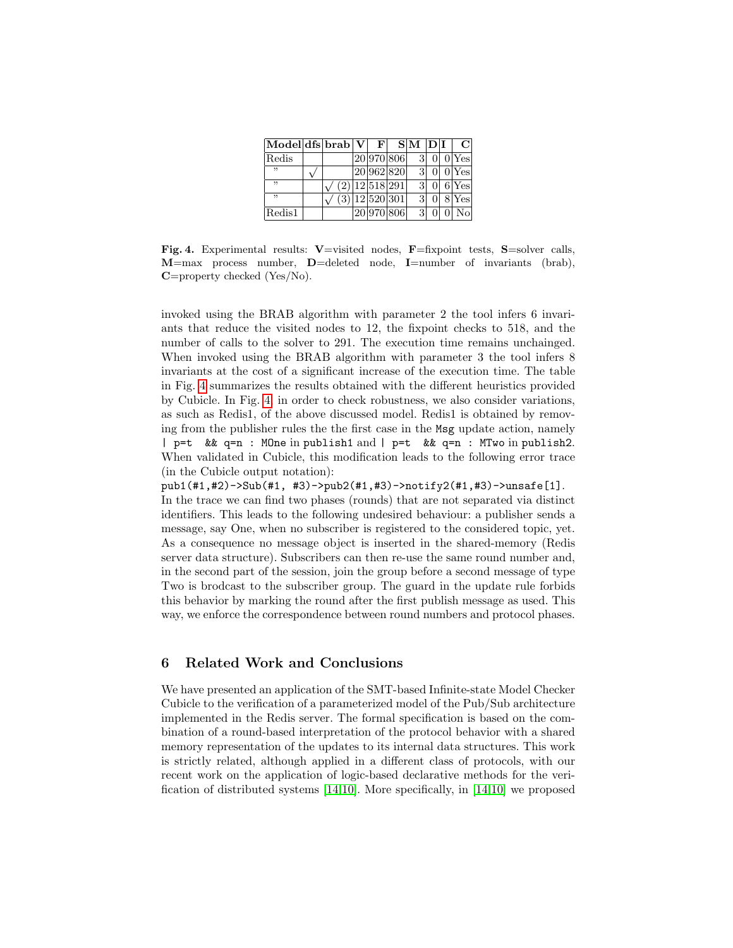| Model dfs brab V |  | F                            | S M D I |  | $\mathsf{C}\mathsf{I}$ |
|------------------|--|------------------------------|---------|--|------------------------|
| Redis            |  | 20 970 806                   | 3       |  | 0 Yes                  |
| ,,               |  | 20 962 820                   | 3       |  | 0 Yes                  |
| ,,               |  | $\overline{(2)}$  12 518 291 | 3       |  | 6 Yes                  |
| ,,               |  | (3) 12 520 301               | 3       |  | 8 Yes                  |
| Redis1           |  | 20 970 806                   | 3       |  | Nο                     |

<span id="page-11-0"></span>Fig. 4. Experimental results: V=visited nodes, F=fixpoint tests, S=solver calls, M=max process number, D=deleted node, I=number of invariants (brab), C=property checked (Yes/No).

invoked using the BRAB algorithm with parameter 2 the tool infers 6 invariants that reduce the visited nodes to 12, the fixpoint checks to 518, and the number of calls to the solver to 291. The execution time remains unchainged. When invoked using the BRAB algorithm with parameter 3 the tool infers 8 invariants at the cost of a significant increase of the execution time. The table in Fig. [4](#page-11-0) summarizes the results obtained with the different heuristics provided by Cubicle. In Fig. [4,](#page-11-0) in order to check robustness, we also consider variations, as such as Redis1, of the above discussed model. Redis1 is obtained by removing from the publisher rules the the first case in the Msg update action, namely | p=t && q=n : MOne in publish1 and | p=t && q=n : MTwo in publish2. When validated in Cubicle, this modification leads to the following error trace (in the Cubicle output notation):

pub1(#1,#2)->Sub(#1, #3)->pub2(#1,#3)->notify2(#1,#3)->unsafe[1]. In the trace we can find two phases (rounds) that are not separated via distinct identifiers. This leads to the following undesired behaviour: a publisher sends a message, say One, when no subscriber is registered to the considered topic, yet. As a consequence no message object is inserted in the shared-memory (Redis server data structure). Subscribers can then re-use the same round number and, in the second part of the session, join the group before a second message of type Two is brodcast to the subscriber group. The guard in the update rule forbids this behavior by marking the round after the first publish message as used. This way, we enforce the correspondence between round numbers and protocol phases.

## 6 Related Work and Conclusions

We have presented an application of the SMT-based Infinite-state Model Checker Cubicle to the verification of a parameterized model of the Pub/Sub architecture implemented in the Redis server. The formal specification is based on the combination of a round-based interpretation of the protocol behavior with a shared memory representation of the updates to its internal data structures. This work is strictly related, although applied in a different class of protocols, with our recent work on the application of logic-based declarative methods for the verification of distributed systems [\[14,](#page-13-7)[10\]](#page-13-8). More specifically, in [\[14,](#page-13-7)[10\]](#page-13-8) we proposed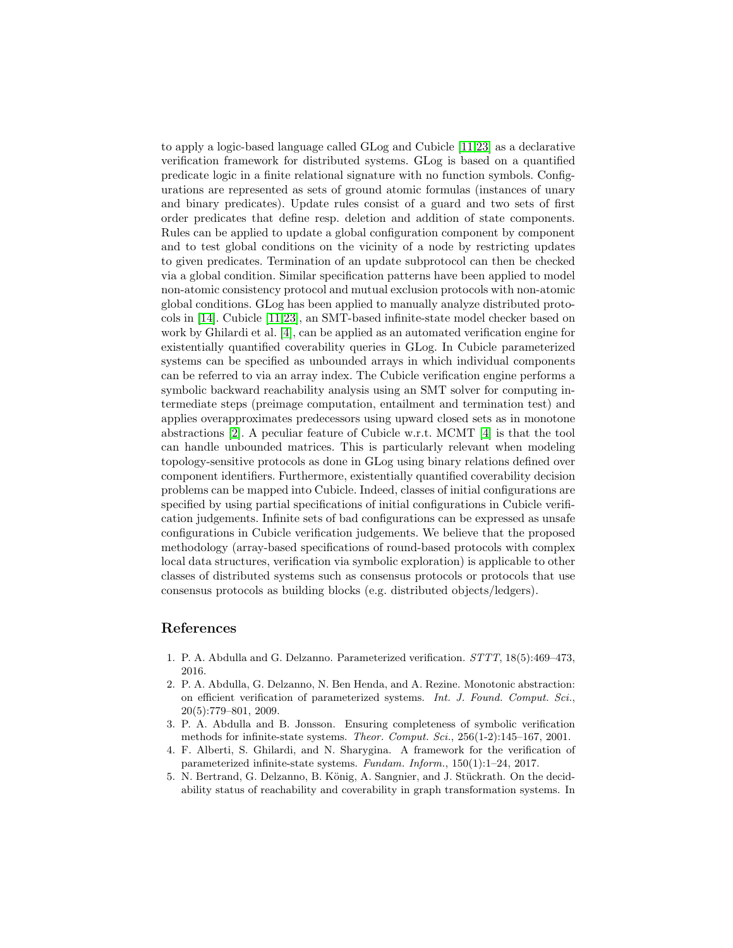to apply a logic-based language called GLog and Cubicle [\[11](#page-13-5)[,23\]](#page-14-3) as a declarative verification framework for distributed systems. GLog is based on a quantified predicate logic in a finite relational signature with no function symbols. Configurations are represented as sets of ground atomic formulas (instances of unary and binary predicates). Update rules consist of a guard and two sets of first order predicates that define resp. deletion and addition of state components. Rules can be applied to update a global configuration component by component and to test global conditions on the vicinity of a node by restricting updates to given predicates. Termination of an update subprotocol can then be checked via a global condition. Similar specification patterns have been applied to model non-atomic consistency protocol and mutual exclusion protocols with non-atomic global conditions. GLog has been applied to manually analyze distributed protocols in [\[14\]](#page-13-7). Cubicle [\[11](#page-13-5)[,23\]](#page-14-3), an SMT-based infinite-state model checker based on work by Ghilardi et al. [\[4\]](#page-12-0), can be applied as an automated verification engine for existentially quantified coverability queries in GLog. In Cubicle parameterized systems can be specified as unbounded arrays in which individual components can be referred to via an array index. The Cubicle verification engine performs a symbolic backward reachability analysis using an SMT solver for computing intermediate steps (preimage computation, entailment and termination test) and applies overapproximates predecessors using upward closed sets as in monotone abstractions [\[2\]](#page-12-1). A peculiar feature of Cubicle w.r.t. MCMT [\[4\]](#page-12-0) is that the tool can handle unbounded matrices. This is particularly relevant when modeling topology-sensitive protocols as done in GLog using binary relations defined over component identifiers. Furthermore, existentially quantified coverability decision problems can be mapped into Cubicle. Indeed, classes of initial configurations are specified by using partial specifications of initial configurations in Cubicle verification judgements. Infinite sets of bad configurations can be expressed as unsafe configurations in Cubicle verification judgements. We believe that the proposed methodology (array-based specifications of round-based protocols with complex local data structures, verification via symbolic exploration) is applicable to other classes of distributed systems such as consensus protocols or protocols that use consensus protocols as building blocks (e.g. distributed objects/ledgers).

# References

- 1. P. A. Abdulla and G. Delzanno. Parameterized verification. STTT, 18(5):469–473, 2016.
- <span id="page-12-1"></span>2. P. A. Abdulla, G. Delzanno, N. Ben Henda, and A. Rezine. Monotonic abstraction: on efficient verification of parameterized systems. Int. J. Found. Comput. Sci., 20(5):779–801, 2009.
- 3. P. A. Abdulla and B. Jonsson. Ensuring completeness of symbolic verification methods for infinite-state systems. Theor. Comput. Sci., 256(1-2):145–167, 2001.
- <span id="page-12-0"></span>4. F. Alberti, S. Ghilardi, and N. Sharygina. A framework for the verification of parameterized infinite-state systems. Fundam. Inform., 150(1):1–24, 2017.
- 5. N. Bertrand, G. Delzanno, B. König, A. Sangnier, and J. Stückrath. On the decidability status of reachability and coverability in graph transformation systems. In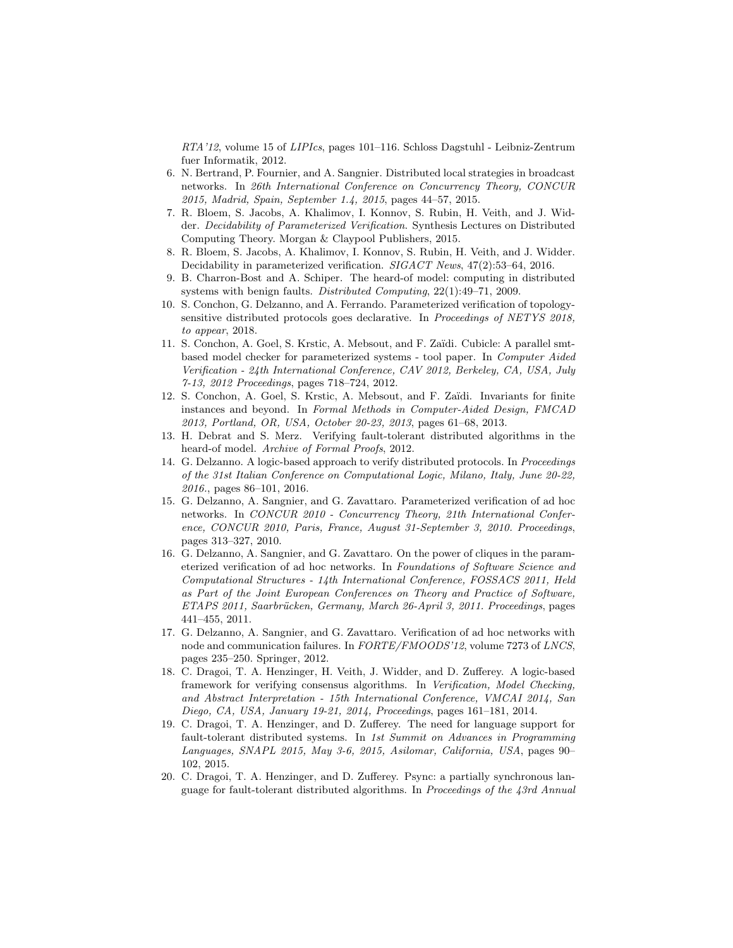RTA'12, volume 15 of LIPIcs, pages 101–116. Schloss Dagstuhl - Leibniz-Zentrum fuer Informatik, 2012.

- 6. N. Bertrand, P. Fournier, and A. Sangnier. Distributed local strategies in broadcast networks. In 26th International Conference on Concurrency Theory, CONCUR 2015, Madrid, Spain, September 1.4, 2015, pages 44–57, 2015.
- 7. R. Bloem, S. Jacobs, A. Khalimov, I. Konnov, S. Rubin, H. Veith, and J. Widder. Decidability of Parameterized Verification. Synthesis Lectures on Distributed Computing Theory. Morgan & Claypool Publishers, 2015.
- 8. R. Bloem, S. Jacobs, A. Khalimov, I. Konnov, S. Rubin, H. Veith, and J. Widder. Decidability in parameterized verification. SIGACT News, 47(2):53–64, 2016.
- <span id="page-13-0"></span>9. B. Charron-Bost and A. Schiper. The heard-of model: computing in distributed systems with benign faults. Distributed Computing, 22(1):49–71, 2009.
- <span id="page-13-8"></span>10. S. Conchon, G. Delzanno, and A. Ferrando. Parameterized verification of topologysensitive distributed protocols goes declarative. In Proceedings of NETYS 2018, to appear, 2018.
- <span id="page-13-5"></span>11. S. Conchon, A. Goel, S. Krstic, A. Mebsout, and F. Za¨ıdi. Cubicle: A parallel smtbased model checker for parameterized systems - tool paper. In Computer Aided Verification - 24th International Conference, CAV 2012, Berkeley, CA, USA, July 7-13, 2012 Proceedings, pages 718–724, 2012.
- <span id="page-13-6"></span>12. S. Conchon, A. Goel, S. Krstic, A. Mebsout, and F. Zaïdi. Invariants for finite instances and beyond. In Formal Methods in Computer-Aided Design, FMCAD 2013, Portland, OR, USA, October 20-23, 2013, pages 61–68, 2013.
- <span id="page-13-4"></span>13. H. Debrat and S. Merz. Verifying fault-tolerant distributed algorithms in the heard-of model. Archive of Formal Proofs, 2012.
- <span id="page-13-7"></span>14. G. Delzanno. A logic-based approach to verify distributed protocols. In Proceedings of the 31st Italian Conference on Computational Logic, Milano, Italy, June 20-22, 2016., pages 86–101, 2016.
- 15. G. Delzanno, A. Sangnier, and G. Zavattaro. Parameterized verification of ad hoc networks. In CONCUR 2010 - Concurrency Theory, 21th International Conference, CONCUR 2010, Paris, France, August 31-September 3, 2010. Proceedings, pages 313–327, 2010.
- 16. G. Delzanno, A. Sangnier, and G. Zavattaro. On the power of cliques in the parameterized verification of ad hoc networks. In Foundations of Software Science and Computational Structures - 14th International Conference, FOSSACS 2011, Held as Part of the Joint European Conferences on Theory and Practice of Software, ETAPS 2011, Saarbrücken, Germany, March 26-April 3, 2011. Proceedings, pages 441–455, 2011.
- 17. G. Delzanno, A. Sangnier, and G. Zavattaro. Verification of ad hoc networks with node and communication failures. In FORTE/FMOODS'12, volume 7273 of LNCS, pages 235–250. Springer, 2012.
- <span id="page-13-1"></span>18. C. Dragoi, T. A. Henzinger, H. Veith, J. Widder, and D. Zufferey. A logic-based framework for verifying consensus algorithms. In Verification, Model Checking, and Abstract Interpretation - 15th International Conference, VMCAI 2014, San Diego, CA, USA, January 19-21, 2014, Proceedings, pages 161–181, 2014.
- <span id="page-13-2"></span>19. C. Dragoi, T. A. Henzinger, and D. Zufferey. The need for language support for fault-tolerant distributed systems. In 1st Summit on Advances in Programming Languages, SNAPL 2015, May 3-6, 2015, Asilomar, California, USA, pages 90– 102, 2015.
- <span id="page-13-3"></span>20. C. Dragoi, T. A. Henzinger, and D. Zufferey. Psync: a partially synchronous language for fault-tolerant distributed algorithms. In Proceedings of the 43rd Annual